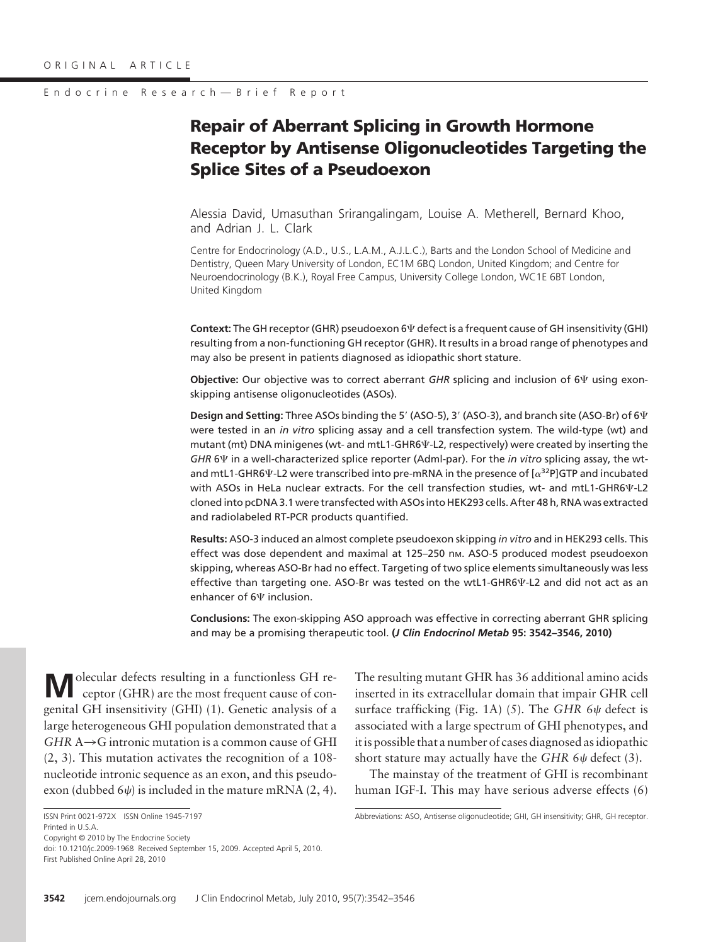# **Repair of Aberrant Splicing in Growth Hormone Receptor by Antisense Oligonucleotides Targeting the Splice Sites of a Pseudoexon**

Alessia David, Umasuthan Srirangalingam, Louise A. Metherell, Bernard Khoo, and Adrian J. L. Clark

Centre for Endocrinology (A.D., U.S., L.A.M., A.J.L.C.), Barts and the London School of Medicine and Dentistry, Queen Mary University of London, EC1M 6BQ London, United Kingdom; and Centre for Neuroendocrinology (B.K.), Royal Free Campus, University College London, WC1E 6BT London, United Kingdom

Context: The GH receptor (GHR) pseudoexon 6 $\Psi$  defect is a frequent cause of GH insensitivity (GHI) resulting from a non-functioning GH receptor (GHR). It results in a broad range of phenotypes and may also be present in patients diagnosed as idiopathic short stature.

**Objective:** Our objective was to correct aberrant GHR splicing and inclusion of 6 $\Psi$  using exonskipping antisense oligonucleotides (ASOs).

**Design and Setting:** Three ASOs binding the 5' (ASO-5), 3' (ASO-3), and branch site (ASO-Br) of 6 $\Psi$ were tested in an *in vitro* splicing assay and a cell transfection system. The wild-type (wt) and mutant (mt) DNA minigenes (wt- and mtL1-GHR6 $\Psi$ -L2, respectively) were created by inserting the GHR 6 $\Psi$  in a well-characterized splice reporter (Adml-par). For the *in vitro* splicing assay, the wtand mtL1-GHR6 $\Psi$ -L2 were transcribed into pre-mRNA in the presence of  $\lceil \alpha^{32}P \rceil$ GTP and incubated with ASOs in HeLa nuclear extracts. For the cell transfection studies, wt- and mtL1-GHR6 $\Psi$ -L2 cloned into pcDNA 3.1 were transfected with ASOs into HEK293 cells. After 48 h, RNA was extracted and radiolabeled RT-PCR products quantified.

**Results:** ASO-3 induced an almost complete pseudoexon skipping *in vitro* and in HEK293 cells. This effect was dose dependent and maximal at 125–250 nm. ASO-5 produced modest pseudoexon skipping, whereas ASO-Br had no effect. Targeting of two splice elements simultaneously was less effective than targeting one. ASO-Br was tested on the wtL1-GHR6 $\Psi$ -L2 and did not act as an enhancer of  $6\Psi$  inclusion.

**Conclusions:** The exon-skipping ASO approach was effective in correcting aberrant GHR splicing and may be a promising therapeutic tool. **(***J Clin Endocrinol Metab* **95: 3542–3546, 2010)**

**M**olecular defects resulting in a functionless GH receptor (GHR) are the most frequent cause of congenital GH insensitivity (GHI) (1). Genetic analysis of a large heterogeneous GHI population demonstrated that a  $GHR A \rightarrow G$  intronic mutation is a common cause of GHI (2, 3). This mutation activates the recognition of a 108 nucleotide intronic sequence as an exon, and this pseudoexon (dubbed 6 $\psi$ ) is included in the mature mRNA (2, 4).

Copyright © 2010 by The Endocrine Society

doi: 10.1210/jc.2009-1968 Received September 15, 2009. Accepted April 5, 2010. First Published Online April 28, 2010

The resulting mutant GHR has 36 additional amino acids inserted in its extracellular domain that impair GHR cell surface trafficking (Fig. 1A) (5). The *GHR* 6 $\psi$  defect is associated with a large spectrum of GHI phenotypes, and it is possible that a number of cases diagnosed as idiopathic short stature may actually have the  $GHR$  6 $\psi$  defect (3).

The mainstay of the treatment of GHI is recombinant human IGF-I. This may have serious adverse effects (6)

ISSN Print 0021-972X ISSN Online 1945-7197 Printed in U.S.A.

Abbreviations: ASO, Antisense oligonucleotide; GHI, GH insensitivity; GHR, GH receptor.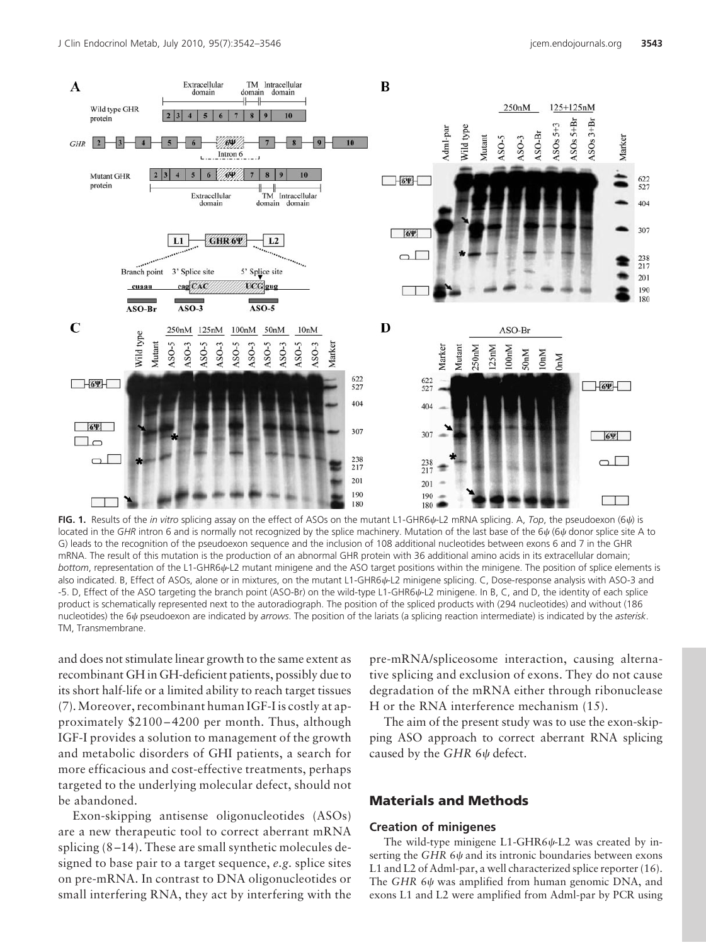

**FIG. 1.** Results of the *in vitro* splicing assay on the effect of ASOs on the mutant L1-GHR6 $\psi$ -L2 mRNA splicing. A, *Top*, the pseudoexon (6 $\psi$ ) is located in the GHR intron 6 and is normally not recognized by the splice machinery. Mutation of the last base of the 6 $\psi$  (6 $\psi$  donor splice site A to G) leads to the recognition of the pseudoexon sequence and the inclusion of 108 additional nucleotides between exons 6 and 7 in the GHR mRNA. The result of this mutation is the production of an abnormal GHR protein with 36 additional amino acids in its extracellular domain; bottom, representation of the L1-GHR6 $\psi$ -L2 mutant minigene and the ASO target positions within the minigene. The position of splice elements is also indicated. B, Effect of ASOs, alone or in mixtures, on the mutant L1-GHR6 $\psi$ -L2 minigene splicing. C, Dose-response analysis with ASO-3 and -5. D, Effect of the ASO targeting the branch point (ASO-Br) on the wild-type L1-GHR6 $\psi$ -L2 minigene. In B, C, and D, the identity of each splice product is schematically represented next to the autoradiograph. The position of the spliced products with (294 nucleotides) and without (186 nucleotides) the 6 $\psi$  pseudoexon are indicated by *arrows*. The position of the lariats (a splicing reaction intermediate) is indicated by the *asterisk*. TM, Transmembrane.

and does not stimulate linear growth to the same extent as recombinant GH in GH-deficient patients, possibly due to its short half-life or a limited ability to reach target tissues (7).Moreover, recombinant human IGF-I is costly at approximately \$2100 – 4200 per month. Thus, although IGF-I provides a solution to management of the growth and metabolic disorders of GHI patients, a search for more efficacious and cost-effective treatments, perhaps targeted to the underlying molecular defect, should not be abandoned.

Exon-skipping antisense oligonucleotides (ASOs) are a new therapeutic tool to correct aberrant mRNA splicing (8 –14). These are small synthetic molecules designed to base pair to a target sequence, *e.g.* splice sites on pre-mRNA. In contrast to DNA oligonucleotides or small interfering RNA, they act by interfering with the pre-mRNA/spliceosome interaction, causing alternative splicing and exclusion of exons. They do not cause degradation of the mRNA either through ribonuclease H or the RNA interference mechanism (15).

The aim of the present study was to use the exon-skipping ASO approach to correct aberrant RNA splicing caused by the  $GHR$  6 $\psi$  defect.

# **Materials and Methods**

### **Creation of minigenes**

The wild-type minigene  $L1$ -GHR6 $\psi$ -L2 was created by inserting the *GHR* 6 $\psi$  and its intronic boundaries between exons L1 and L2 of Adml-par, a well characterized splice reporter (16). The *GHR* 6 $\psi$  was amplified from human genomic DNA, and exons L1 and L2 were amplified from Adml-par by PCR using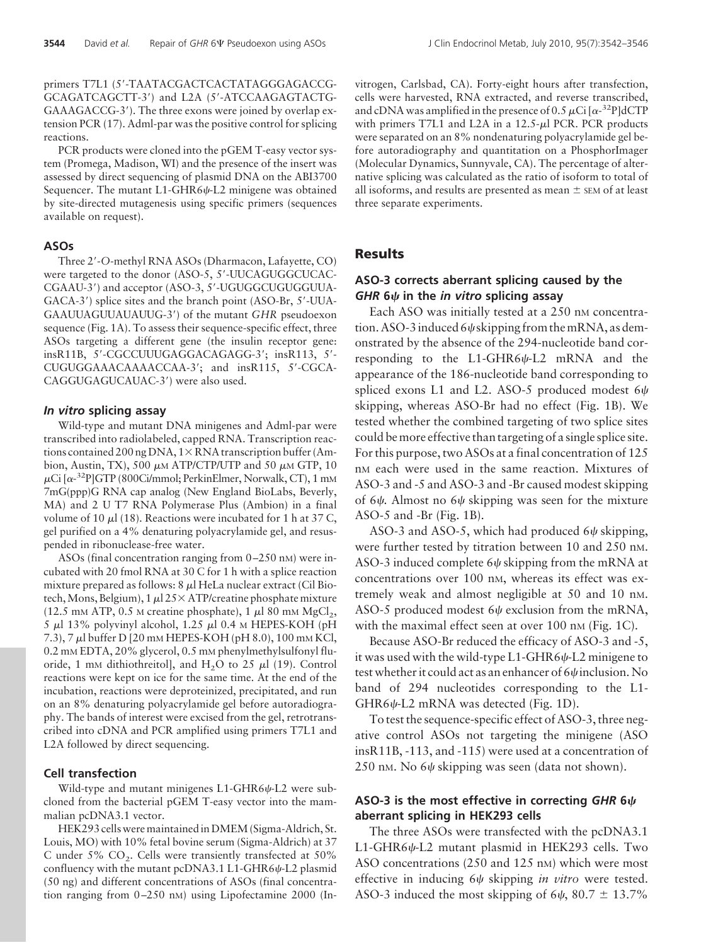primers T7L1 (5'-TAATACGACTCACTATAGGGAGACCG-GCAGATCAGCTT-3') and L2A (5'-ATCCAAGAGTACTG-GAAAGACCG-3'). The three exons were joined by overlap extension PCR (17). Adml-par was the positive control for splicing reactions.

PCR products were cloned into the pGEM T-easy vector system (Promega, Madison, WI) and the presence of the insert was assessed by direct sequencing of plasmid DNA on the ABI3700 Sequencer. The mutant  $L1$ -GHR6 $\psi$ -L2 minigene was obtained by site-directed mutagenesis using specific primers (sequences available on request).

#### **ASOs**

Three 2--*O*-methyl RNA ASOs (Dharmacon, Lafayette, CO) were targeted to the donor (ASO-5, 5'-UUCAGUGGCUCAC-CGAAU-3') and acceptor (ASO-3, 5'-UGUGGCUGUGGUUA-GACA-3') splice sites and the branch point (ASO-Br, 5'-UUA-GAAUUAGUUAUAUUG-3') of the mutant GHR pseudoexon sequence (Fig. 1A). To assess their sequence-specific effect, three ASOs targeting a different gene (the insulin receptor gene: insR11B, 5'-CGCCUUUGAGGACAGAGG-3'; insR113, 5'-CUGUGGAAACAAAACCAA-3'; and insR115, 5'-CGCA-CAGGUGAGUCAUAC-3') were also used.

### *In vitro* **splicing assay**

Wild-type and mutant DNA minigenes and Adml-par were transcribed into radiolabeled, capped RNA. Transcription reactions contained 200 ng DNA,  $1 \times$  RNA transcription buffer (Ambion, Austin, TX), 500  $\mu$ M ATP/CTP/UTP and 50  $\mu$ M GTP, 10 pCi [a-<sup>32</sup>P]GTP (800Ci/mmol; PerkinElmer, Norwalk, CT), 1 mM 7mG(ppp)G RNA cap analog (New England BioLabs, Beverly, MA) and 2 U T7 RNA Polymerase Plus (Ambion) in a final volume of 10  $\mu$ l (18). Reactions were incubated for 1 h at 37 C, gel purified on a 4% denaturing polyacrylamide gel, and resuspended in ribonuclease-free water.

ASOs (final concentration ranging from  $0-250$  nM) were incubated with 20 fmol RNA at 30 C for 1 h with a splice reaction mixture prepared as follows:  $8 \mu$ l HeLa nuclear extract (Cil Biotech, Mons, Belgium), 1  $\mu$ l 25 × ATP/creatine phosphate mixture (12.5 mm ATP, 0.5 m creatine phosphate), 1  $\mu$ l 80 mm MgCl<sub>2</sub>, 5  $\mu$ l 13% polyvinyl alcohol, 1.25  $\mu$ l 0.4 M HEPES-KOH (pH 7.3), 7 µ buffer D [20 mM HEPES-KOH (pH 8.0), 100 mM KCl, 0.2 mM EDTA, 20% glycerol, 0.5 mM phenylmethylsulfonyl fluoride, 1 mm dithiothreitol], and  $H_2O$  to 25  $\mu$ l (19). Control reactions were kept on ice for the same time. At the end of the incubation, reactions were deproteinized, precipitated, and run on an 8% denaturing polyacrylamide gel before autoradiography. The bands of interest were excised from the gel, retrotranscribed into cDNA and PCR amplified using primers T7L1 and L2A followed by direct sequencing.

#### **Cell transfection**

Wild-type and mutant minigenes  $L1$ -GHR6 $\psi$ -L2 were subcloned from the bacterial pGEM T-easy vector into the mammalian pcDNA3.1 vector.

HEK293 cells were maintained in DMEM (Sigma-Aldrich, St. Louis, MO) with 10% fetal bovine serum (Sigma-Aldrich) at 37 C under  $5\%$  CO<sub>2</sub>. Cells were transiently transfected at  $50\%$ confluency with the mutant pcDNA3.1 L1-GHR6 $\psi$ -L2 plasmid (50 ng) and different concentrations of ASOs (final concentration ranging from 0-250 nM) using Lipofectamine 2000 (Invitrogen, Carlsbad, CA). Forty-eight hours after transfection, cells were harvested, RNA extracted, and reverse transcribed, and cDNA was amplified in the presence of 0.5  $\mu$ Ci [ $\alpha$ -<sup>32</sup>P]dCTP with primers T7L1 and L2A in a  $12.5-\mu$ l PCR. PCR products were separated on an 8% nondenaturing polyacrylamide gel before autoradiography and quantitation on a PhosphorImager (Molecular Dynamics, Sunnyvale, CA). The percentage of alternative splicing was calculated as the ratio of isoform to total of all isoforms, and results are presented as mean  $\pm$  SEM of at least three separate experiments.

## **Results**

## **ASO-3 corrects aberrant splicing caused by the** *GHR* **6 in the** *in vitro* **splicing assay**

Each ASO was initially tested at a 250 nm concentration. ASO-3 induced 6 $\psi$ skipping from the mRNA, as demonstrated by the absence of the 294-nucleotide band corresponding to the L1-GHR6 $\psi$ -L2 mRNA and the appearance of the 186-nucleotide band corresponding to spliced exons L1 and L2. ASO-5 produced modest 6 $\psi$ skipping, whereas ASO-Br had no effect (Fig. 1B). We tested whether the combined targeting of two splice sites could be more effective than targeting of a single splice site. For this purpose, two ASOs at a final concentration of 125 nM each were used in the same reaction. Mixtures of ASO-3 and -5 and ASO-3 and -Br caused modest skipping of 6 $\psi$ . Almost no 6 $\psi$  skipping was seen for the mixture ASO-5 and -Br (Fig. 1B).

ASO-3 and ASO-5, which had produced  $6\psi$  skipping, were further tested by titration between 10 and 250 nM. ASO-3 induced complete 6 $\psi$  skipping from the mRNA at concentrations over 100 nM, whereas its effect was extremely weak and almost negligible at 50 and 10 nM. ASO-5 produced modest 6 $\psi$  exclusion from the mRNA, with the maximal effect seen at over  $100 \text{ nm}$  (Fig. 1C).

Because ASO-Br reduced the efficacy of ASO-3 and -5, it was used with the wild-type L1-GHR6 $\psi$ -L2 minigene to test whether it could act as an enhancer of 6 $\psi$ inclusion. No band of 294 nucleotides corresponding to the L1- GHR6 $\psi$ -L2 mRNA was detected (Fig. 1D).

To test the sequence-specific effect of ASO-3, three negative control ASOs not targeting the minigene (ASO insR11B, -113, and -115) were used at a concentration of  $250$  nm. No 6 $\psi$  skipping was seen (data not shown).

## **ASO-3 is the most effective in correcting** *GHR* **6 aberrant splicing in HEK293 cells**

The three ASOs were transfected with the pcDNA3.1 L1-GHR6 $\psi$ -L2 mutant plasmid in HEK293 cells. Two ASO concentrations (250 and 125 nm) which were most effective in inducing 6 $\psi$  skipping *in vitro* were tested. ASO-3 induced the most skipping of  $6\psi$ ,  $80.7 \pm 13.7\%$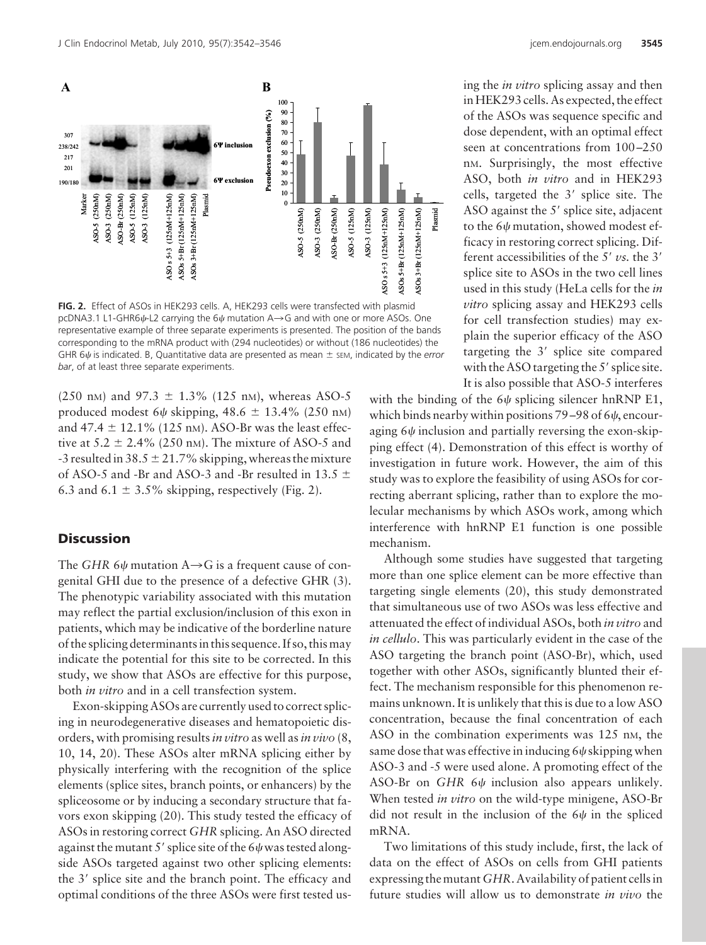

**FIG. 2.** Effect of ASOs in HEK293 cells. A, HEK293 cells were transfected with plasmid pcDNA3.1 L1-GHR6 $\psi$ -L2 carrying the 6 $\psi$  mutation A $\rightarrow$ G and with one or more ASOs. One representative example of three separate experiments is presented. The position of the bands corresponding to the mRNA product with (294 nucleotides) or without (186 nucleotides) the GHR  $6\psi$  is indicated. B, Quantitative data are presented as mean  $\pm$  sem, indicated by the *error bar*, of at least three separate experiments.

(250 nm) and 97.3  $\pm$  1.3% (125 nm), whereas ASO-5 produced modest 6 $\psi$  skipping, 48.6  $\pm$  13.4% (250 nm) and  $47.4 \pm 12.1\%$  (125 nm). ASO-Br was the least effective at  $5.2 \pm 2.4\%$  (250 nm). The mixture of ASO-5 and -3 resulted in 38.5  $\pm$  21.7% skipping, whereas the mixture of ASO-5 and -Br and ASO-3 and -Br resulted in 13.5  $\pm$ 6.3 and 6.1  $\pm$  3.5% skipping, respectively (Fig. 2).

## **Discussion**

The *GHR* 6 $\psi$  mutation A $\rightarrow$ G is a frequent cause of congenital GHI due to the presence of a defective GHR (3). The phenotypic variability associated with this mutation may reflect the partial exclusion/inclusion of this exon in patients, which may be indicative of the borderline nature of the splicing determinants in this sequence. If so, this may indicate the potential for this site to be corrected. In this study, we show that ASOs are effective for this purpose, both *in vitro* and in a cell transfection system.

Exon-skipping ASOs are currently used to correct splicing in neurodegenerative diseases and hematopoietic disorders, with promising results*in vitro* as well as*in vivo* (8, 10, 14, 20). These ASOs alter mRNA splicing either by physically interfering with the recognition of the splice elements (splice sites, branch points, or enhancers) by the spliceosome or by inducing a secondary structure that favors exon skipping (20). This study tested the efficacy of ASOs in restoring correct *GHR* splicing. An ASO directed against the mutant 5' splice site of the 6 $\psi$  was tested alongside ASOs targeted against two other splicing elements: the 3' splice site and the branch point. The efficacy and optimal conditions of the three ASOs were first tested us-

ing the *in vitro* splicing assay and then in HEK293 cells. As expected, the effect of the ASOs was sequence specific and dose dependent, with an optimal effect seen at concentrations from  $100 - 250$ nM. Surprisingly, the most effective ASO, both *in vitro* and in HEK293 cells, targeted the 3' splice site. The ASO against the 5' splice site, adjacent to the 6 $\psi$  mutation, showed modest efficacy in restoring correct splicing. Different accessibilities of the 5' vs. the 3' splice site to ASOs in the two cell lines used in this study (HeLa cells for the *in vitro* splicing assay and HEK293 cells for cell transfection studies) may explain the superior efficacy of the ASO targeting the 3' splice site compared with the ASO targeting the  $5'$  splice site. It is also possible that ASO-5 interferes

with the binding of the  $6\psi$  splicing silencer hnRNP E1, which binds nearby within positions 79–98 of 6 $\psi$ , encouraging  $6\psi$  inclusion and partially reversing the exon-skipping effect (4). Demonstration of this effect is worthy of investigation in future work. However, the aim of this study was to explore the feasibility of using ASOs for correcting aberrant splicing, rather than to explore the molecular mechanisms by which ASOs work, among which interference with hnRNP E1 function is one possible mechanism.

Although some studies have suggested that targeting more than one splice element can be more effective than targeting single elements (20), this study demonstrated that simultaneous use of two ASOs was less effective and attenuated the effect of individual ASOs, both *in vitro* and *in cellulo*. This was particularly evident in the case of the ASO targeting the branch point (ASO-Br), which, used together with other ASOs, significantly blunted their effect. The mechanism responsible for this phenomenon remains unknown. It is unlikely that this is due to a low ASO concentration, because the final concentration of each ASO in the combination experiments was 125 nm, the same dose that was effective in inducing 6 $\psi$  skipping when ASO-3 and -5 were used alone. A promoting effect of the ASO-Br on  $GHR$  6 $\psi$  inclusion also appears unlikely. When tested *in vitro* on the wild-type minigene, ASO-Br did not result in the inclusion of the  $6\psi$  in the spliced mRNA.

Two limitations of this study include, first, the lack of data on the effect of ASOs on cells from GHI patients expressing the mutant *GHR*. Availability of patient cells in future studies will allow us to demonstrate *in vivo* the